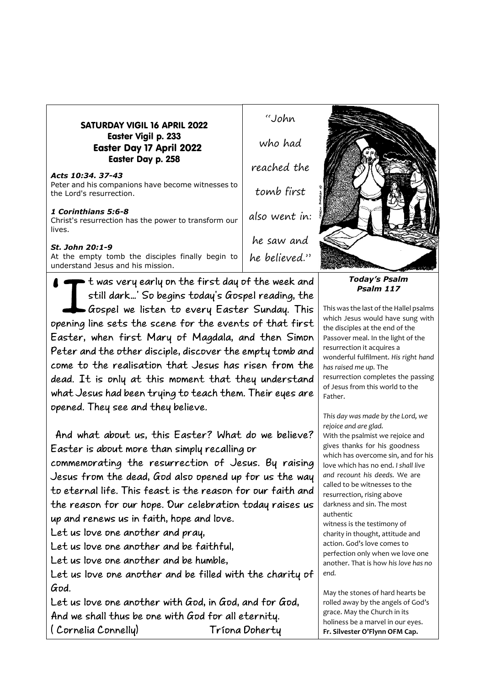| <b>SATURDAY VIGIL 16 APRIL 2022</b> |
|-------------------------------------|
| <b>Easter Vigil p. 233</b>          |
| <b>Easter Day 17 April 2022</b>     |
| Easter Day p. 258                   |

## *Acts 10:34. 37-43* Peter and his companions have become witnesses to the Lord's resurrection.

## *1 Corinthians 5:6-8*

Christ's resurrection has the power to transform our lives.

## *St. John 20:1-9*

At the empty tomb the disciples finally begin to understand Jesus and his mission.

 $\blacktriangleright$  t was very early on the first day of the week and still dark...' So begins today's Gospel reading, the  $\bullet$  Gospel we listen to every Easter Sunday. This opening line sets the scene for the events of that first Easter, when first Mary of Magdala, and then Simon Peter and the other disciple, discover the empty tomb and come to the realisation that Jesus has risen from the dead. It is only at this moment that they understand what Jesus had been trying to teach them. Their eyes are opened. They see and they believe.

And what about us, this Easter? What do we believe? Easter is about more than simply recalling or

commemorating the resurrection of Jesus. By raising Jesus from the dead, God also opened up for us the way to eternal life. This feast is the reason for our faith and the reason for our hope. Our celebration today raises us up and renews us in faith, hope and love.

Let us love one another and pray,

Let us love one another and be faithful.

Let us love one another and be humble.

Let us love one another and be filled with the charity of God.

Let us love one another with God, in God, and for God. And we shall thus be one with God for all eternity. (Cornelia Connelly) Tríona Doherty

"John who had reached the tomb first also went in: he saw and he believed."



*Today's Psalm Psalm 117*

This was the last of the Hallel psalms which Jesus would have sung with the disciples at the end of the Passover meal. In the light of the resurrection it acquires a wonderful fulfilment. *His right hand has raised me up.* The resurrection completes the passing of Jesus from this world to the Father.

*This day was made by the Lord, we rejoice and are glad.* With the psalmist we rejoice and gives thanks for his goodness which has overcome sin, and for his love which has no end. *I shall live and recount his deeds.* We are called to be witnesses to the resurrection, rising above darkness and sin. The most authentic

witness is the testimony of charity in thought, attitude and action. God's love comes to perfection only when we love one another. That is how *his love has no end.*

May the stones of hard hearts be rolled away by the angels of God's grace. May the Church in its holiness be a marvel in our eyes. **Fr. Silvester O'Flynn OFM Cap.**